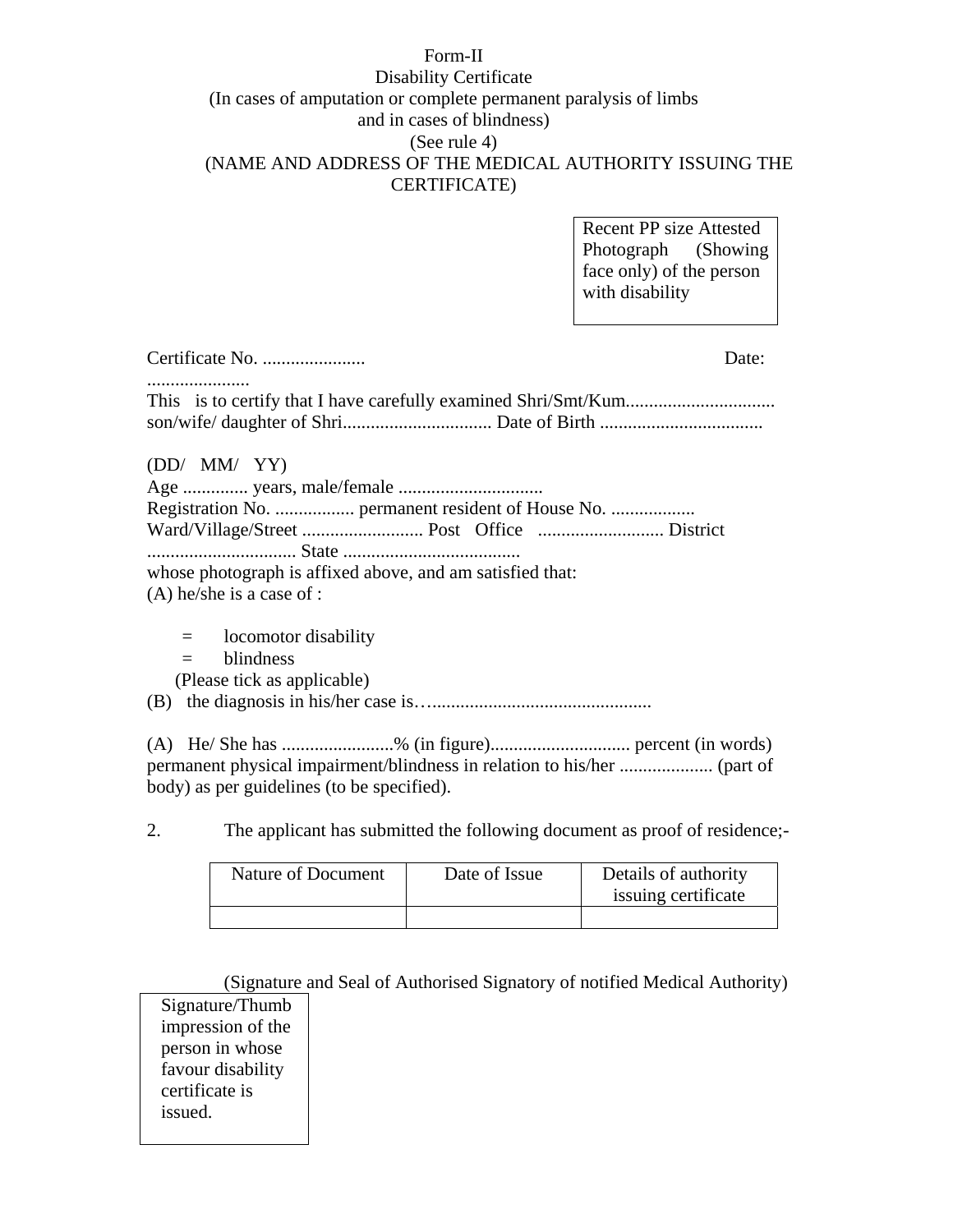### Form-II Disability Certificate (In cases of amputation or complete permanent paralysis of limbs and in cases of blindness) (See rule 4) (NAME AND ADDRESS OF THE MEDICAL AUTHORITY ISSUING THE CERTIFICATE)

| <b>Recent PP size Attested</b> |  |  |
|--------------------------------|--|--|
| Photograph (Showing            |  |  |
| face only) of the person       |  |  |
| with disability                |  |  |

|                                                           | Date: |
|-----------------------------------------------------------|-------|
|                                                           |       |
| (DD/MM/YY)                                                |       |
| Registration No.  permanent resident of House No.         |       |
|                                                           |       |
|                                                           |       |
| whose photograph is affixed above, and am satisfied that: |       |
| $(A)$ he/she is a case of :                               |       |
| locomotor disability<br>$=$                               |       |

- = blindness
- (Please tick as applicable)
- (B) the diagnosis in his/her case is…...............................................

(A) He/ She has ........................% (in figure).............................. percent (in words) permanent physical impairment/blindness in relation to his/her .................... (part of body) as per guidelines (to be specified).

2. The applicant has submitted the following document as proof of residence;-

| <b>Nature of Document</b> | Date of Issue | Details of authority<br>issuing certificate |
|---------------------------|---------------|---------------------------------------------|
|                           |               |                                             |

(Signature and Seal of Authorised Signatory of notified Medical Authority) Signature/Thumb impression of the person in whose favour disability certificate is issued.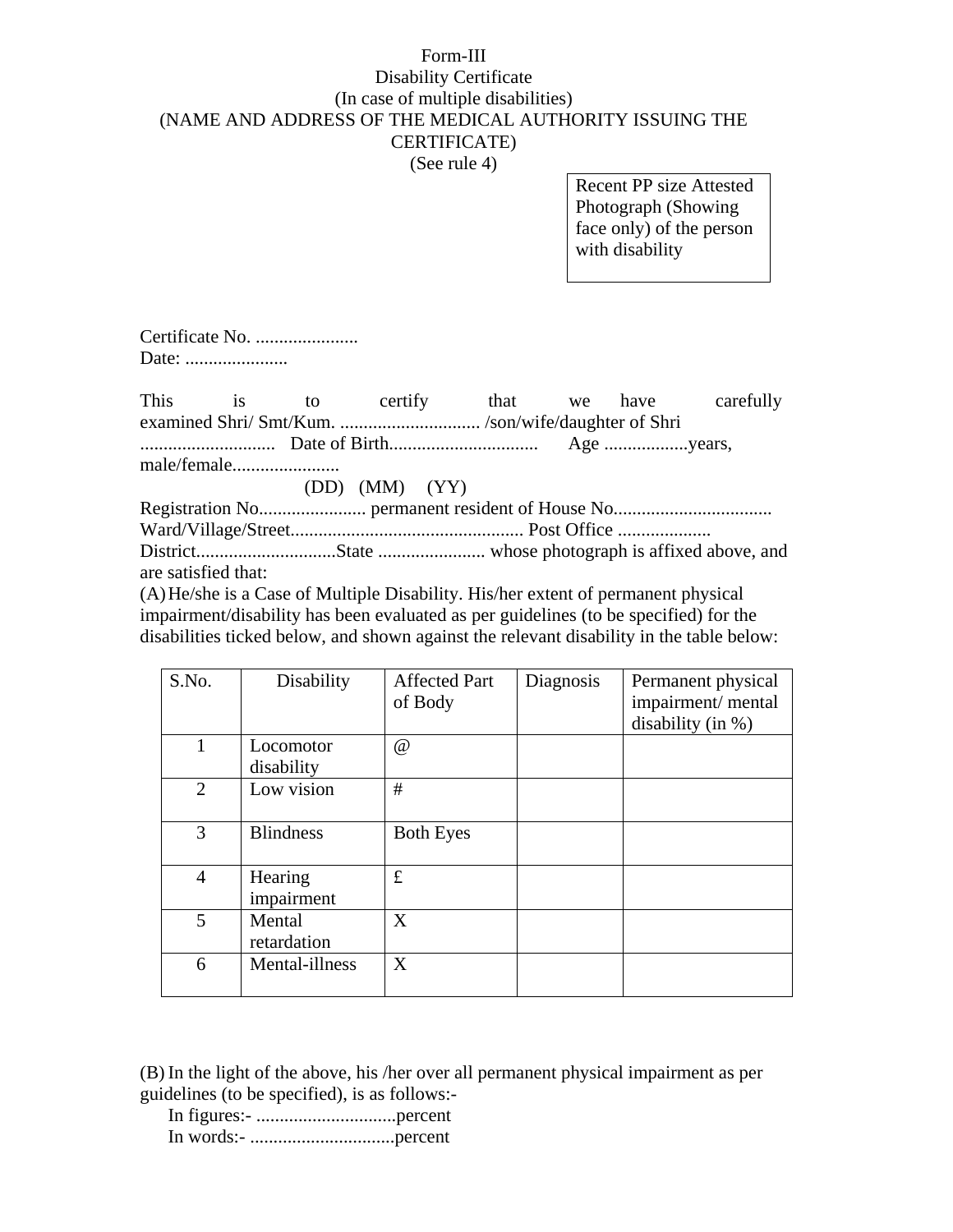#### Form-III

# Disability Certificate (In case of multiple disabilities) (NAME AND ADDRESS OF THE MEDICAL AUTHORITY ISSUING THE CERTIFICATE)

(See rule 4)

Recent PP size Attested Photograph (Showing face only) of the person with disability

Certificate No. ...................... Date: ......................

This is to certify that we have carefully examined Shri/ Smt/Kum. ................................./son/wife/daughter of Shri ............................. Date of Birth................................ Age ..................years, male/female....................... (DD) (MM) (YY) Registration No....................... permanent resident of House No.................................. Ward/Village/Street.................................................. Post Office .................... District..............................State ....................... whose photograph is affixed above, and

are satisfied that:

(A) He/she is a Case of Multiple Disability. His/her extent of permanent physical impairment/disability has been evaluated as per guidelines (to be specified) for the disabilities ticked below, and shown against the relevant disability in the table below:

| S.No.          | Disability       | <b>Affected Part</b> | Diagnosis | Permanent physical   |
|----------------|------------------|----------------------|-----------|----------------------|
|                |                  | of Body              |           | impairment/mental    |
|                |                  |                      |           | disability (in $%$ ) |
| 1              | Locomotor        | $^{\textregistered}$ |           |                      |
|                | disability       |                      |           |                      |
| $\overline{2}$ | Low vision       | #                    |           |                      |
|                |                  |                      |           |                      |
| 3              | <b>Blindness</b> | <b>Both Eyes</b>     |           |                      |
|                |                  |                      |           |                      |
| $\overline{4}$ | Hearing          | £                    |           |                      |
|                | impairment       |                      |           |                      |
| 5              | Mental           | X                    |           |                      |
|                | retardation      |                      |           |                      |
| 6              | Mental-illness   | X                    |           |                      |
|                |                  |                      |           |                      |

(B) In the light of the above, his /her over all permanent physical impairment as per guidelines (to be specified), is as follows:-

 In figures:- ..............................percent In words:- ...............................percent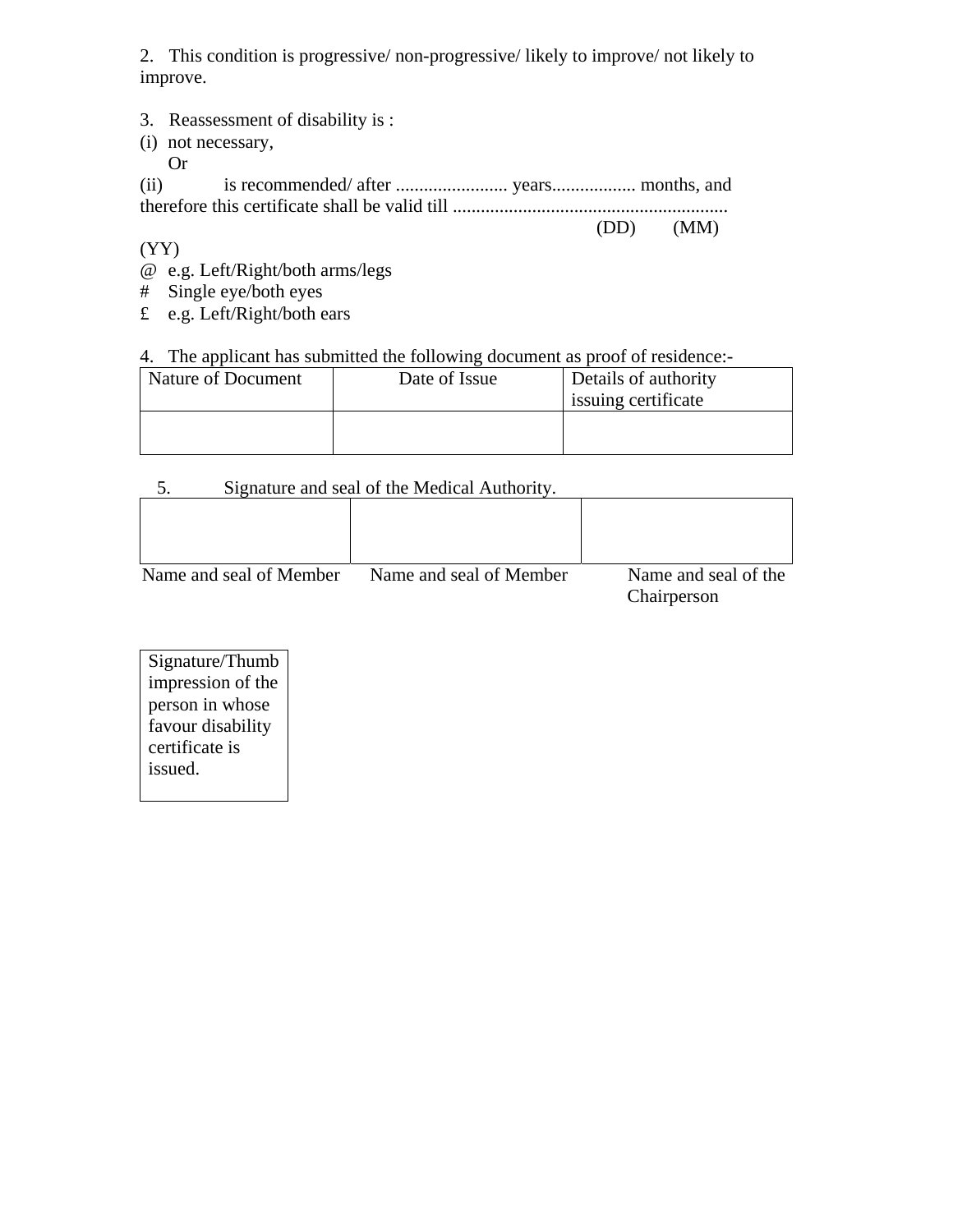2. This condition is progressive/ non-progressive/ likely to improve/ not likely to improve.

- 3. Reassessment of disability is :
- (i) not necessary,
	- Or

(ii) is recommended/ after ........................ years.................. months, and therefore this certificate shall be valid till ...........................................................

 $(DD)$   $(MM)$ 

(YY)

- @ e.g. Left/Right/both arms/legs
- # Single eye/both eyes
- £ e.g. Left/Right/both ears

## 4. The applicant has submitted the following document as proof of residence:-

| Nature of Document | Date of Issue | Details of authority<br>issuing certificate |
|--------------------|---------------|---------------------------------------------|
|                    |               |                                             |

### 5. Signature and seal of the Medical Authority.

| Name and seal of Member | Name and seal of Member | Name and seal of the<br>Chairperson |
|-------------------------|-------------------------|-------------------------------------|

Signature/Thumb impression of the person in whose favour disability certificate is issued.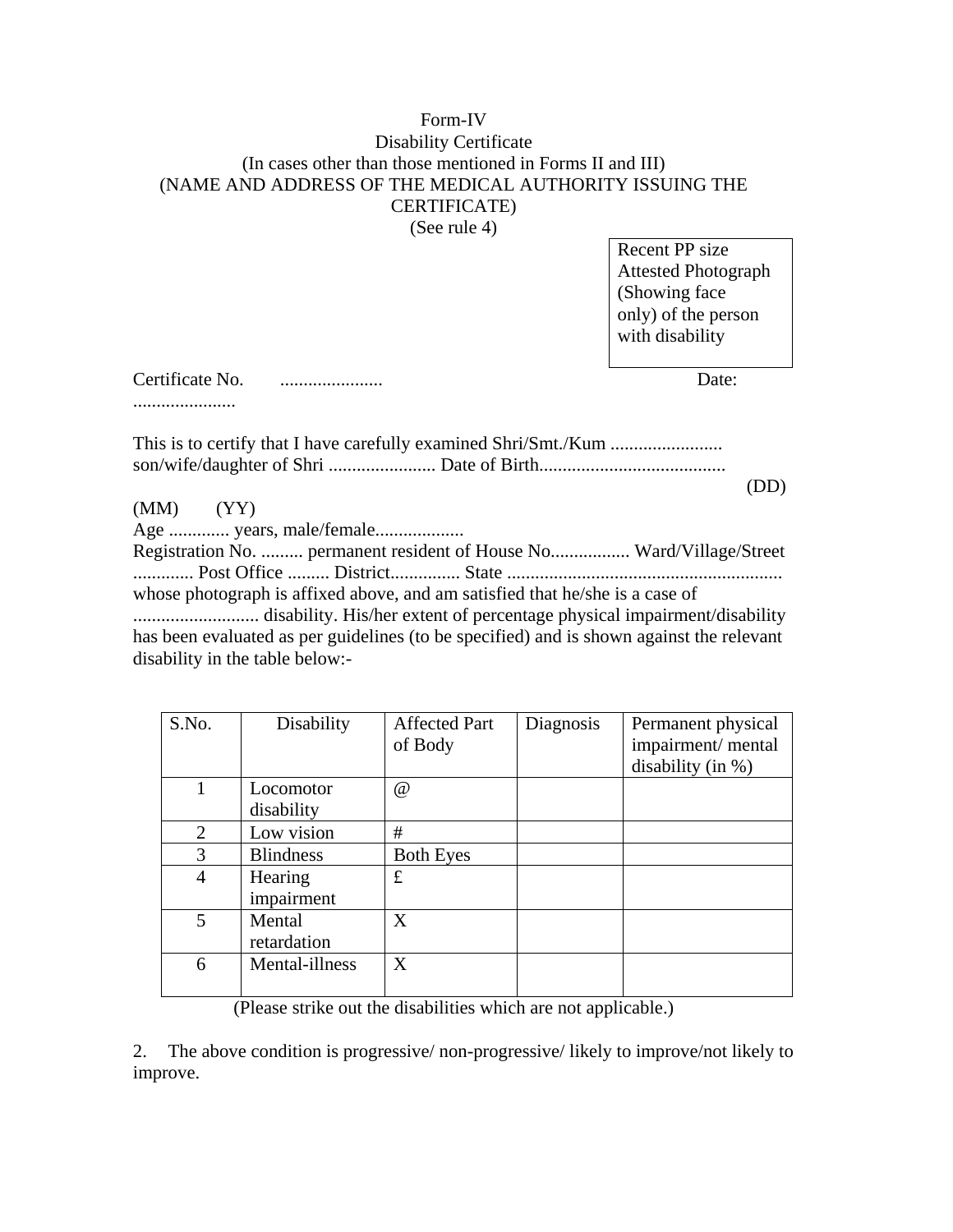# Form-IV Disability Certificate (In cases other than those mentioned in Forms II and III) (NAME AND ADDRESS OF THE MEDICAL AUTHORITY ISSUING THE CERTIFICATE)

(See rule 4)

Recent PP size Attested Photograph (Showing face only) of the person with disability

Certificate No. ...................... Date:

......................

This is to certify that I have carefully examined Shri/Smt./Kum ........................ son/wife/daughter of Shri ....................... Date of Birth........................................

 (DD) (MM) (YY)

Age ............. years, male/female...................

Registration No. ......... permanent resident of House No................. Ward/Village/Street ............. Post Office ......... District............... State ........................................................... whose photograph is affixed above, and am satisfied that he/she is a case of ........................... disability. His/her extent of percentage physical impairment/disability has been evaluated as per guidelines (to be specified) and is shown against the relevant disability in the table below:-

| S.No. | Disability              | <b>Affected Part</b><br>of Body | Diagnosis | Permanent physical<br>impairment/mental<br>disability (in %) |
|-------|-------------------------|---------------------------------|-----------|--------------------------------------------------------------|
| 1     | Locomotor<br>disability | $^{\textregistered}$            |           |                                                              |
| 2     | Low vision              | #                               |           |                                                              |
| 3     | <b>Blindness</b>        | <b>Both Eyes</b>                |           |                                                              |
| 4     | Hearing<br>impairment   | £                               |           |                                                              |
| 5     | Mental<br>retardation   | X                               |           |                                                              |
| 6     | Mental-illness          | X                               |           |                                                              |

(Please strike out the disabilities which are not applicable.)

2. The above condition is progressive/ non-progressive/ likely to improve/not likely to improve.